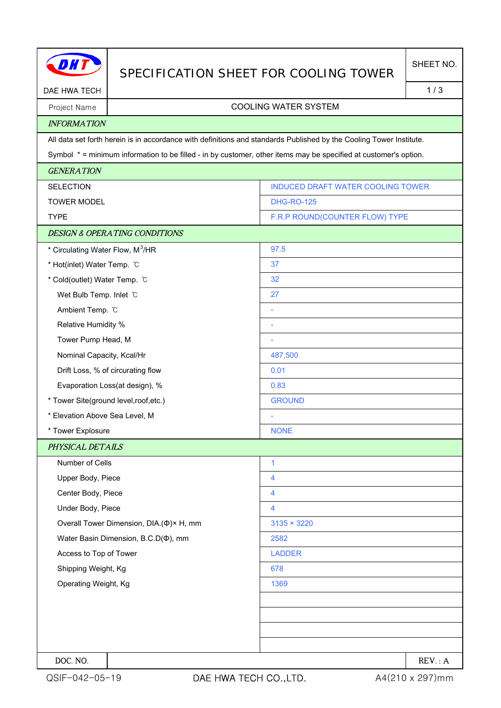| DAE HWA TECH                                 |                                                                                                                     | SPECIFICATION SHEET FOR COOLING TOWER |        |
|----------------------------------------------|---------------------------------------------------------------------------------------------------------------------|---------------------------------------|--------|
|                                              |                                                                                                                     |                                       | 1/3    |
| Project Name                                 | <b>COOLING WATER SYSTEM</b>                                                                                         |                                       |        |
| <b>INFORMATION</b>                           |                                                                                                                     |                                       |        |
|                                              | All data set forth herein is in accordance with definitions and standards Published by the Cooling Tower Institute. |                                       |        |
|                                              | Symbol * = minimum information to be filled - in by customer, other items may be specified at customer's option.    |                                       |        |
| <b>GENERATION</b>                            |                                                                                                                     |                                       |        |
| <b>SELECTION</b>                             |                                                                                                                     | INDUCED DRAFT WATER COOLING TOWER     |        |
| <b>TOWER MODEL</b>                           |                                                                                                                     | <b>DHG-RO-125</b>                     |        |
| <b>TYPE</b>                                  |                                                                                                                     | F.R.P ROUND(COUNTER FLOW) TYPE        |        |
|                                              | <b>DESIGN &amp; OPERATING CONDITIONS</b>                                                                            |                                       |        |
| * Circulating Water Flow, M <sup>3</sup> /HR |                                                                                                                     | 97.5                                  |        |
| * Hot(inlet) Water Temp. C                   |                                                                                                                     | 37                                    |        |
| * Cold(outlet) Water Temp. C                 |                                                                                                                     | 32                                    |        |
| Wet Bulb Temp. Inlet C                       |                                                                                                                     | 27                                    |        |
| Ambient Temp. °C                             |                                                                                                                     | ÷                                     |        |
| Relative Humidity %                          |                                                                                                                     | ÷                                     |        |
| Tower Pump Head, M                           |                                                                                                                     | ÷                                     |        |
| Nominal Capacity, Kcal/Hr                    |                                                                                                                     | 487,500                               |        |
|                                              | Drift Loss, % of circurating flow                                                                                   | 0.01                                  |        |
| Evaporation Loss(at design), %               |                                                                                                                     | 0.83                                  |        |
| * Tower Site(ground level, roof, etc.)       |                                                                                                                     | <b>GROUND</b>                         |        |
| * Elevation Above Sea Level, M               |                                                                                                                     |                                       |        |
| * Tower Explosure                            |                                                                                                                     | <b>NONE</b>                           |        |
| PHYSICAL DETAILS                             |                                                                                                                     |                                       |        |
| Number of Cells                              |                                                                                                                     | $\mathbf{1}$                          |        |
| Upper Body, Piece                            |                                                                                                                     | 4                                     |        |
| Center Body, Piece                           |                                                                                                                     | 4                                     |        |
| Under Body, Piece                            |                                                                                                                     | 4                                     |        |
|                                              | Overall Tower Dimension, DIA.(Φ)× H, mm                                                                             | $3135 \times 3220$                    |        |
| Water Basin Dimension, B.C.D( $\Phi$ ), mm   |                                                                                                                     | 2582                                  |        |
| Access to Top of Tower                       |                                                                                                                     | <b>LADDER</b>                         |        |
| Shipping Weight, Kg                          |                                                                                                                     | 678                                   |        |
| Operating Weight, Kg                         |                                                                                                                     | 1369                                  |        |
|                                              |                                                                                                                     |                                       |        |
|                                              |                                                                                                                     |                                       |        |
|                                              |                                                                                                                     |                                       |        |
|                                              |                                                                                                                     |                                       |        |
| DOC. NO.                                     |                                                                                                                     |                                       | REV: A |

H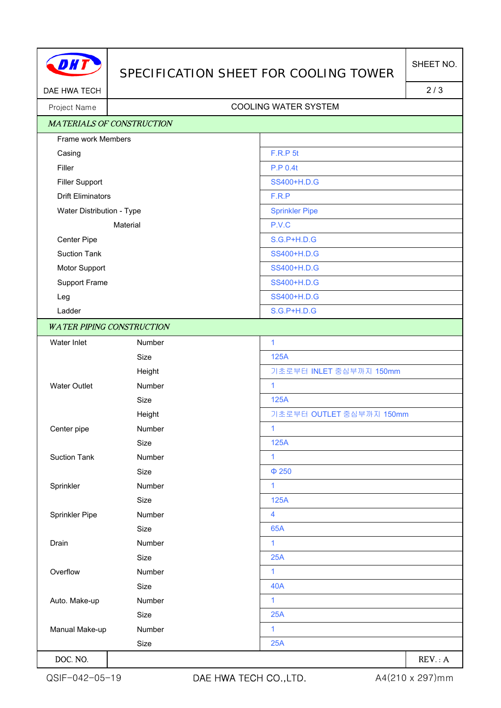

## SPECIFICATION SHEET FOR COOLING TOWER

DAE HWA TECH 2/3

## Project Name | Name | Name | Name | Name | Name | Name | Name | Name | Name | Name | Name | Name | Name | Name | Name | Name | Name | Name | Name | Name | Name | Name | Name | Name | Name | Name | Name | Name | Name | Name

| <b>MATERIALS OF CONSTRUCTION</b>                      |               |                          |
|-------------------------------------------------------|---------------|--------------------------|
| Frame work Members                                    |               |                          |
| Casing                                                |               | F.R.P 5t                 |
| Filler                                                |               | <b>P.P 0.4t</b>          |
| <b>Filler Support</b>                                 |               | SS400+H.D.G              |
| <b>Drift Eliminators</b><br>Water Distribution - Type |               | F.R.P                    |
|                                                       |               | <b>Sprinkler Pipe</b>    |
| Material                                              |               | P.V.C                    |
| Center Pipe                                           |               | <b>S.G.P+H.D.G</b>       |
| <b>Suction Tank</b>                                   |               | SS400+H.D.G              |
| Motor Support                                         |               | SS400+H.D.G              |
| Support Frame                                         |               | SS400+H.D.G              |
| Leg                                                   |               | SS400+H.D.G              |
| Ladder                                                |               | <b>S.G.P+H.D.G</b>       |
| <b>WATER PIPING CONSTRUCTION</b>                      |               |                          |
| Water Inlet                                           | Number        | $\mathbf{1}$             |
|                                                       | Size          | 125A                     |
|                                                       | Height        | 기초로부터 INLET 중심부까지 150mm  |
| <b>Water Outlet</b>                                   | <b>Number</b> | $\mathbf{1}$             |
|                                                       | Size          | 125A                     |
|                                                       | Height        | 기초로부터 OUTLET 중심부까지 150mm |
| Center pipe                                           | Number        | $\mathbf{1}$             |
|                                                       | Size          | 125A                     |
| <b>Suction Tank</b>                                   | Number        | 1                        |
|                                                       | Size          | $\Phi$ 250               |
| Sprinkler                                             | Number        | 1                        |
|                                                       | Size          | 125A                     |
| Sprinkler Pipe                                        | Number        | $\overline{\mathbf{4}}$  |
|                                                       | Size          | 65A                      |
| Drain                                                 | Number        | 1                        |
|                                                       | Size          | 25A                      |
| Overflow                                              | Number        | 1                        |
|                                                       | Size          | <b>40A</b>               |
| Auto. Make-up                                         | Number        | $\mathbf{1}$             |
|                                                       | Size          | 25A                      |
| Manual Make-up                                        | Number        | 1                        |
|                                                       | Size          | 25A                      |
| DOC. NO.                                              |               | REV: A                   |